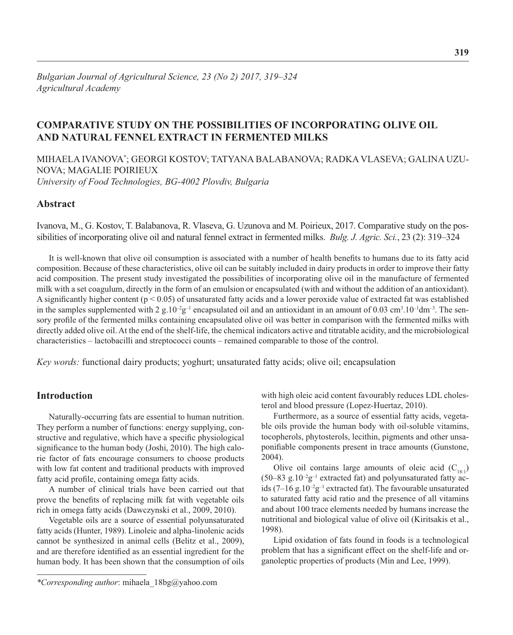# **COMPARATIVE STUDY ON THE POSSIBILITIES OF INCORPORATING OLIVE OIL AND NATURAL FENNEL EXTRACT IN FERMENTED MILKS**

MIHAELA IVANOVA\* ; GEORGI KOSTOV; TATYANA BALABANOVA; RADKA VLASEVA; GALINA UZU-NOVA; MAGALIE POIRIEUX *University of Food Technologies, BG-4002 Plovdiv, Bulgaria* 

## **Abstract**

Ivanova, M., G. Kostov, T. Balabanova, R. Vlaseva, G. Uzunova and M. Poirieux, 2017. Comparative study on the possibilities of incorporating olive oil and natural fennel extract in fermented milks. *Bulg. J. Agric. Sci.*, 23 (2): 319–324

It is well-known that olive oil consumption is associated with a number of health benefits to humans due to its fatty acid composition. Because of these characteristics, olive oil can be suitably included in dairy products in order to improve their fatty acid composition. The present study investigated the possibilities of incorporating olive oil in the manufacture of fermented milk with a set coagulum, directly in the form of an emulsion or encapsulated (with and without the addition of an antioxidant). A significantly higher content ( $p < 0.05$ ) of unsaturated fatty acids and a lower peroxide value of extracted fat was established in the samples supplemented with  $2 \text{ g}.10^{-2} \text{g}^{-1}$  encapsulated oil and an antioxidant in an amount of 0.03 cm<sup>3</sup>.10<sup>-1</sup>dm<sup>-3</sup>. The sensory profile of the fermented milks containing encapsulated olive oil was better in comparison with the fermented milks with directly added olive oil. At the end of the shelf-life, the chemical indicators active and titratable acidity, and the microbiological characteristics – lactobacilli and streptococci counts – remained comparable to those of the control.

*Key words:* functional dairy products; yoghurt; unsaturated fatty acids; olive oil; encapsulation

## **Introduction**

Naturally-occurring fats are essential to human nutrition. They perform a number of functions: energy supplying, constructive and regulative, which have a specific physiological significance to the human body (Joshi, 2010). The high calorie factor of fats encourage consumers to choose products with low fat content and traditional products with improved fatty acid profile, containing omega fatty acids.

A number of clinical trials have been carried out that prove the benefits of replacing milk fat with vegetable oils rich in omega fatty acids (Dawczynski et al., 2009, 2010).

Vegetable oils are a source of essential polyunsaturated fatty acids (Hunter, 1989). Linoleic and alpha-linolenic acids cannot be synthesized in animal cells (Belitz et al., 2009), and are therefore identified as an essential ingredient for the human body. It has been shown that the consumption of oils with high oleic acid content favourably reduces LDL cholesterol and blood pressure (Lopez-Huertaz, 2010).

Furthermore, as a source of essential fatty acids, vegetable oils provide the human body with oil-soluble vitamins, tocopherols, phytosterols, lecithin, pigments and other unsaponifiable components present in trace amounts (Gunstone, 2004).

Olive oil contains large amounts of oleic acid  $(C_{18:1})$ (50–83 g.10<sup>-2</sup>g<sup>-1</sup> extracted fat) and polyunsaturated fatty acids (7-16 g.10<sup>-2</sup>g<sup>-1</sup> extracted fat). The favourable unsaturated to saturated fatty acid ratio and the presence of all vitamins and about 100 trace elements needed by humans increase the nutritional and biological value of olive oil (Kiritsakis et al., 1998).

Lipid oxidation of fats found in foods is a technological problem that has a significant effect on the shelf-life and organoleptic properties of products (Min and Lee, 1999).

*<sup>\*</sup>Corresponding author*: mihaela\_18bg@yahoo.com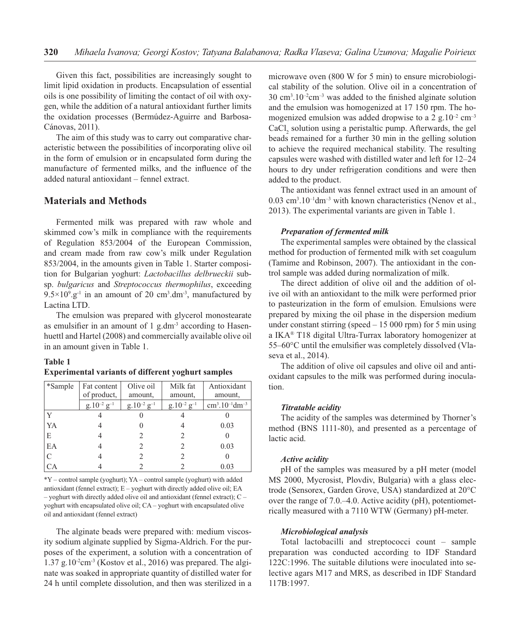Given this fact, possibilities are increasingly sought to limit lipid oxidation in products. Encapsulation of essential oils is one possibility of limiting the contact of oil with oxygen, while the addition of a natural antioxidant further limits the oxidation processes (Bermúdez-Aguirre and Barbosa-Cánovas, 2011).

The aim of this study was to carry out comparative characteristic between the possibilities of incorporating olive oil in the form of emulsion or in encapsulated form during the manufacture of fermented milks, and the influence of the added natural antioxidant - fennel extract.

## **Materials and Methods**

Fermented milk was prepared with raw whole and skimmed cow's milk in compliance with the requirements of Regulation 853/2004 of the European Commission, and cream made from raw cow's milk under Regulation 853/2004, in the amounts given in Table 1. Starter composition for Bulgarian yoghurt: Lactobacillus delbrueckii subsp. bulgaricus and Streptococcus thermophilus, exceeding  $9.5 \times 10^{9}$  g<sup>-1</sup> in an amount of 20 cm<sup>3</sup>.dm<sup>-3</sup>, manufactured by Lactina LTD.

The emulsion was prepared with glycerol monostearate as emulsifier in an amount of 1 g.dm<sup>-3</sup> according to Hasenhuettl and Hartel (2008) and commercially available olive oil in an amount given in Table 1.

#### **Table 1**

| *Sample       | Fat content        | Olive oil          | Milk fat           | Antioxidant    |
|---------------|--------------------|--------------------|--------------------|----------------|
|               | of product,        | amount,            | amount,            | amount,        |
|               | $g.10^{-2} g^{-1}$ | $g.10^{-2} g^{-1}$ | $g.10^{-2} g^{-1}$ | $cm3.10-1dm-3$ |
|               |                    |                    |                    |                |
| YA            |                    |                    |                    | 0.03           |
| E             |                    |                    | 2                  |                |
| EA            |                    |                    | $\mathcal{L}$      | 0.03           |
| $\mathcal{C}$ |                    |                    | $\mathcal{L}$      |                |
|               |                    |                    |                    | 0.03           |

## **Experimental variants of different voghurt samples**

\*Y - control sample (yoghurt); YA - control sample (yoghurt) with added antioxidant (fennel extract);  $E - y$  oghurt with directly added olive oil; EA  $-$  yoghurt with directly added olive oil and antioxidant (fennel extract);  $C$ yoghurt with encapsulated olive oil; CA - yoghurt with encapsulated olive oil and antioxidant (fennel extract)

The alginate beads were prepared with: medium viscosity sodium alginate supplied by Sigma-Aldrich. For the purposes of the experiment, a solution with a concentration of  $1.37$  g.10<sup>-2</sup>cm<sup>-3</sup> (Kostov et al., 2016) was prepared. The alginate was soaked in appropriate quantity of distilled water for 24 h until complete dissolution, and then was sterilized in a microwave oven (800 W for 5 min) to ensure microbiological stability of the solution. Olive oil in a concentration of  $30 \text{ cm}^3.10^{-2} \text{cm}^{-3}$  was added to the finished alginate solution and the emulsion was homogenized at 17 150 rpm. The homogenized emulsion was added dropwise to a 2 g.10<sup>-2</sup> cm<sup>-3</sup> CaCl, solution using a peristaltic pump. Afterwards, the gel beads remained for a further 30 min in the gelling solution to achieve the required mechanical stability. The resulting capsules were washed with distilled water and left for 12-24 hours to dry under refrigeration conditions and were then added to the product.

The antioxidant was fennel extract used in an amount of  $0.03$  cm<sup>3</sup>.10<sup>-1</sup>dm<sup>-3</sup> with known characteristics (Nenov et al., 2013). The experimental variants are given in Table 1.

#### **Preparation of fermented milk**

The experimental samples were obtained by the classical method for production of fermented milk with set coagulum (Tamime and Robinson, 2007). The antioxidant in the control sample was added during normalization of milk.

The direct addition of olive oil and the addition of olive oil with an antioxidant to the milk were performed prior to pasteurization in the form of emulsion. Emulsions were prepared by mixing the oil phase in the dispersion medium under constant stirring (speed  $-15000$  rpm) for 5 min using a IKA® T18 digital Ultra-Turrax laboratory homogenizer at  $55-60^{\circ}$ C until the emulsifier was completely dissolved (Vlaseva et al., 2014).

The addition of olive oil capsules and olive oil and antioxidant capsules to the milk was performed during inoculation.

#### Titratable acidity

The acidity of the samples was determined by Thorner's method (BNS 1111-80), and presented as a percentage of lactic acid.

#### **Active acidity**

pH of the samples was measured by a pH meter (model MS 2000, Mycrosist, Plovdiv, Bulgaria) with a glass elec trode (Sensorex, Garden Grove, USA) standardized at 20°C over the range of  $7.0$ .  $-4.0$ . Active acidity (pH), potentiometrically measured with a 7110 WTW (Germany) pH-meter.

#### **Microbiological analysis**

Total lactobacilli and streptococci count - sample preparation was conducted according to IDF Standard 122C:1996. The suitable dilutions were inoculated into selective agars M17 and MRS, as described in IDF Standard 117B:1997.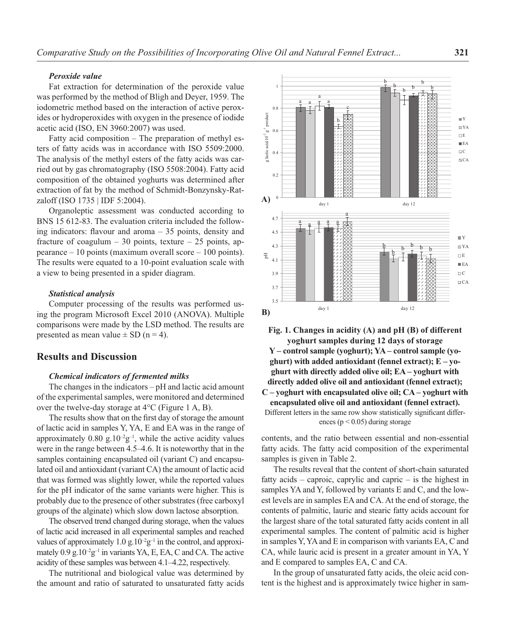#### *Peroxide value*

Fat extraction for determination of the peroxide value was performed by the method of Bligh and Deyer, 1959. The iodometric method based on the interaction of active peroxides or hydroperoxides with oxygen in the presence of iodide acetic acid (ISO, EN 3960:2007) was used.

Fatty acid composition – The preparation of methyl esters of fatty acids was in accordance with ISO 5509:2000. The analysis of the methyl esters of the fatty acids was carried out by gas chromatography (ISO 5508:2004). Fatty acid composition of the obtained yoghurts was determined after extraction of fat by the method of Schmidt-Bonzynsky-Ratzaloff (ISO 1735 | IDF 5:2004).

Organoleptic assessment was conducted according to BNS 15 612-83. The evaluation criteria included the following indicators: flavour and aroma  $-35$  points, density and fracture of coagulum – 30 points, texture – 25 points, appearance – 10 points (maximum overall score – 100 points). The results were equated to a 10-point evaluation scale with a view to being presented in a spider diagram.

### *Statistical analysis*

Computer processing of the results was performed using the program Microsoft Excel 2010 (ANOVA). Multiple comparisons were made by the LSD method. The results are presented as mean value  $\pm$  SD (n = 4).

### **Results and Discussion**

#### *Chemical indicators of fermented milks*

The changes in the indicators – pH and lactic acid amount of the experimental samples, were monitored and determined over the twelve-day storage at 4°C (Figure 1 A, B).

The results show that on the first day of storage the amount of lactic acid in samples Y, YA, E and EA was in the range of approximately  $0.80$  g. $10^{-2}$ g<sup>-1</sup>, while the active acidity values were in the range between 4.5–4.6. It is noteworthy that in the samples containing encapsulated oil (variant C) and encapsulated oil and antioxidant (variant CA) the amount of lactic acid that was formed was slightly lower, while the reported values for the pH indicator of the same variants were higher. This is probably due to the presence of other substrates (free carboxyl groups of the alginate) which slow down lactose absorption.

The observed trend changed during storage, when the values of lactic acid increased in all experimental samples and reached values of approximately 1.0 g.10<sup>-2</sup>g<sup>-1</sup> in the control, and approximately  $0.9 \text{ g}.10^{-2} \text{g}^{-1}$  in variants YA, E, EA, C and CA. The active acidity of these samples was between 4.1–4.22, respectively.

The nutritional and biological value was determined by the amount and ratio of saturated to unsaturated fatty acids



**Fig. 1. Changes in acidity (A) and pH (B) of different yoghurt samples during 12 days of storage Y – control sample (yoghurt); YA – control sample (yoghurt) with added antioxidant (fennel extract); E – yoghurt with directly added olive oil; EA – yoghurt with directly added olive oil and antioxidant (fennel extract); C – yoghurt with encapsulated olive oil; CA – yoghurt with encapsulated olive oil and antioxidant (fennel extract).**  Different letters in the same row show statistically significant differences ( $p < 0.05$ ) during storage

contents, and the ratio between essential and non-essential fatty acids. The fatty acid composition of the experimental samples is given in Table 2.

The results reveal that the content of short-chain saturated fatty acids – caproic, caprylic and capric – is the highest in samples YA and Y, followed by variants E and C, and the lowest levels are in samples EA and CA. At the end of storage, the contents of palmitic, lauric and stearic fatty acids account for the largest share of the total saturated fatty acids content in all experimental samples. The content of palmitic acid is higher in samples Y, YA and E in comparison with variants EA, C and CA, while lauric acid is present in a greater amount in YA, Y and E compared to samples EA, C and CA.

In the group of unsaturated fatty acids, the oleic acid content is the highest and is approximately twice higher in sam-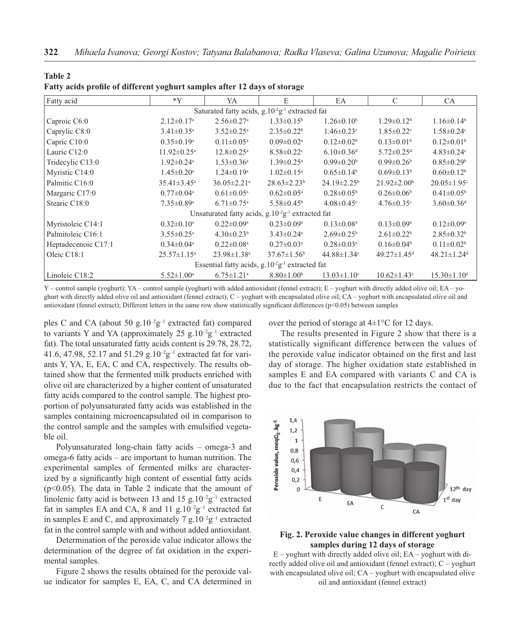| Fatty acid                                                              | $*Y$                          | YA                                                      | E                            | EA                             | C                             | <b>CA</b>                     |  |  |
|-------------------------------------------------------------------------|-------------------------------|---------------------------------------------------------|------------------------------|--------------------------------|-------------------------------|-------------------------------|--|--|
| Saturated fatty acids, g.10 <sup>-2</sup> g <sup>-1</sup> extracted fat |                               |                                                         |                              |                                |                               |                               |  |  |
| Caproic C6:0                                                            | $2.12 \pm 0.17$ <sup>a</sup>  | $2.56 \pm 0.27$ <sup>a</sup>                            | $1.33 \pm 0.15^b$            | $1.26 \pm 0.10^b$              | $1.29 \pm 0.12^b$             | $1.16 \pm 0.14^b$             |  |  |
| Caprylic C8:0                                                           | $3.41 \pm 0.35$ <sup>a</sup>  | $3.52 \pm 0.25$ <sup>a</sup>                            | $2.35 \pm 0.22^b$            | $1.46 \pm 0.23$ °              | $1.85 \pm 0.22$ <sup>c</sup>  | $1.58 \pm 0.24$ °             |  |  |
| Capric C10:0                                                            | $0.35 \pm 0.19^{\text{a}}$    | $0.11 \pm 0.05^{\text{a}}$                              | $0.09 \pm 0.02$ <sup>a</sup> | $0.12 \pm 0.02^b$              | $0.13 \pm 0.01^b$             | $0.12 \pm 0.01$ <sup>b</sup>  |  |  |
| Lauric C12:0                                                            | $11.92 \pm 0.25$ <sup>a</sup> | $12.8 \pm 0.25$ <sup>a</sup>                            | $8.58 \pm 0.22$ <sup>c</sup> | $6.10 \pm 0.36$ <sup>d</sup>   | $5.72 \pm 0.25$ <sup>d</sup>  | $4.83 \pm 0.24$ °             |  |  |
| Tridecylic C13:0                                                        | $1.92 \pm 0.24$ <sup>a</sup>  | $1.53 \pm 0.36^a$                                       | $1.39 \pm 0.25$ <sup>a</sup> | $0.99 \pm 0.20^b$              | $0.99 \pm 0.26$               | $0.85 \pm 0.29$ <sup>b</sup>  |  |  |
| Myristic C14:0                                                          | $1.45 \pm 0.20$ <sup>a</sup>  | $1.24 \pm 0.19$ <sup>a</sup>                            | $1.02 \pm 0.15^{\text{a}}$   | $0.65 \pm 0.14^b$              | $0.69 \pm 0.13^b$             | $0.60 \pm 0.12^b$             |  |  |
| Palmitic C16:0                                                          | $35.41 \pm 3.45^{\text{a}}$   | $36.05 \pm 2.21$ <sup>a</sup>                           | $28.63 \pm 2.23^b$           | $24.19 \pm 2.25^{\circ}$       | $21.92 \pm 2.00^b$            | $20.05 \pm 1.95$ <sup>c</sup> |  |  |
| Margaric C17:0                                                          | $0.77 \pm 0.04$ <sup>a</sup>  | $0.61 \pm 0.05^{\text{a}}$                              | $0.62 \pm 0.05^{\text{a}}$   | $0.28 \pm 0.05^{\rm b}$        | $0.26 \pm 0.06^b$             | $0.41 \pm 0.05^{\rm b}$       |  |  |
| Stearic C18:0                                                           | $7.35 \pm 0.89$ <sup>a</sup>  | $6.71 \pm 0.75$ <sup>a</sup>                            | $5.58 \pm 0.45^{\circ}$      | $4.08 \pm 0.45$ <sup>c</sup>   | $4.76 \pm 0.35$ °             | $3.60 \pm 0.36$ <sup>d</sup>  |  |  |
|                                                                         |                               | Unsaturated fatty acids, $g.10^{2}g^{-1}$ extracted fat |                              |                                |                               |                               |  |  |
| Myristoleic C14:1                                                       | $0.32 \pm 0.10^a$             | $0.22 \pm 0.09^{\text{a}}$                              | $0.23 \pm 0.09$ <sup>a</sup> | $0.13 \pm 0.08$ <sup>a</sup>   | $0.13 \pm 0.09^{\text{a}}$    | $0.12 \pm 0.09^{\mathrm{a}}$  |  |  |
| Palmitoleic C16:1                                                       | $3.55 \pm 0.25$ <sup>a</sup>  | $4.30 \pm 0.23^b$                                       | $3.43 \pm 0.24$ <sup>a</sup> | $2.69 \pm 0.25^b$              | $2.61 \pm 0.22^b$             | $2.85 \pm 0.32^b$             |  |  |
| Heptadecenoic C17:1                                                     | $0.34 \pm 0.04$ <sup>a</sup>  | $0.22 \pm 0.08$ <sup>a</sup>                            | $0.27 \pm 0.03$ <sup>a</sup> | $0.28 \pm 0.03$ <sup>a</sup>   | $0.16 \pm 0.04^b$             | $0.11 \pm 0.02^b$             |  |  |
| Oleic C18:1                                                             | $25.57 \pm 1.15^a$            | $23.98 \pm 1.38$ <sup>a</sup>                           | $37.67 \pm 1.56^b$           | 44.88 $\pm$ 1.34 $\textdegree$ | $49.27 \pm 1.45$ <sup>d</sup> | $48.21 \pm 1.24$ <sup>d</sup> |  |  |
| Essential fatty acids, $g.10^{2}g^{-1}$ extracted fat                   |                               |                                                         |                              |                                |                               |                               |  |  |
| Linoleic C18:2                                                          | $5.52 \pm 1.00^{\text{a}}$    | $6.75 \pm 1.21$ <sup>a</sup>                            | $8.80 \pm 1.00^b$            | $13.03 \pm 1.10$ <sup>c</sup>  | $10.62 \pm 1.43$ °            | $15.30 \pm 1.10$ <sup>d</sup> |  |  |

|  |  |  |  | Fatty acids profile of different yoghurt samples after 12 days of storage |
|--|--|--|--|---------------------------------------------------------------------------|
|  |  |  |  |                                                                           |

**Table 2**

Y – control sample (yoghurt); YA – control sample (yoghurt) with added antioxidant (fennel extract); E – yoghurt with directly added olive oil; EA – yoghurt with directly added olive oil and antioxidant (fennel extract); C – yoghurt with encapsulated olive oil; CA – yoghurt with encapsulated olive oil and antioxidant (fennel extract); Different letters in the same row show statistically significant differences ( $p<0.05$ ) between samples

ples C and CA (about 50 g.10<sup>-2</sup>g<sup>-1</sup> extracted fat) compared to variants Y and YA (approximately 25 g.10<sup>-2</sup>g<sup>-1</sup> extracted fat). The total unsaturated fatty acids content is 29.78, 28.72, 41.6, 47.98, 52.17 and 51.29 g.10<sup>-2</sup>g<sup>-1</sup> extracted fat for variants Y, YA, E, EA, C and CA, respectively. The results obtained show that the fermented milk products enriched with olive oil are characterized by a higher content of unsaturated fatty acids compared to the control sample. The highest proportion of polyunsaturated fatty acids was established in the samples containing microencapsulated oil in comparison to the control sample and the samples with emulsified vegetable oil.

Polyunsaturated long-chain fatty acids – omega-3 and omega-6 fatty acids – are important to human nutrition. The experimental samples of fermented milks are characterized by a significantly high content of essential fatty acids (p<0.05). The data in Table 2 indicate that the amount of linolenic fatty acid is between 13 and 15 g.10<sup>-2</sup>g<sup>-1</sup> extracted fat in samples EA and CA, 8 and 11  $g.10^{-2}g^{-1}$  extracted fat in samples E and C, and approximately 7 g.10<sup>-2</sup>g<sup>-1</sup> extracted fat in the control sample with and without added antioxidant.

Determination of the peroxide value indicator allows the determination of the degree of fat oxidation in the experimental samples.

Figure 2 shows the results obtained for the peroxide value indicator for samples E, EA, C, and CA determined in over the period of storage at  $4\pm1^{\circ}$ C for 12 days.

The results presented in Figure 2 show that there is a statistically significant difference between the values of the peroxide value indicator obtained on the first and last day of storage. The higher oxidation state established in samples E and EA compared with variants C and CA is due to the fact that encapsulation restricts the contact of



### **Fig. 2. Peroxide value changes in different yoghurt samples during 12 days of storage**

 $E$  – yoghurt with directly added olive oil;  $EA$  – yoghurt with directly added olive oil and antioxidant (fennel extract); C – yoghurt with encapsulated olive oil; CA – yoghurt with encapsulated olive oil and antioxidant (fennel extract)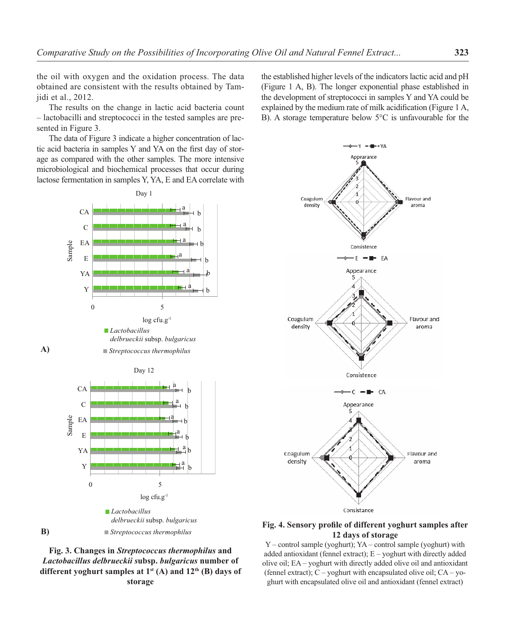the oil with oxygen and the oxidation process. The data obtained are consistent with the results obtained by Tamjidi et al., 2012.

The results on the change in lactic acid bacteria count – lactobacilli and streptococci in the tested samples are presented in Figure 3.

The data of Figure 3 indicate a higher concentration of lactic acid bacteria in samples Y and YA on the first day of storage as compared with the other samples. The more intensive microbiological and biochemical processes that occur during lactose fermentation in samples Y, YA, E and EA correlate with



**A)**

**B)**





the established higher levels of the indicators lactic acid and pH (Figure 1 A, B). The longer exponential phase established in the development of streptococci in samples Y and YA could be explained by the medium rate of milk acidification (Figure 1 A, B). A storage temperature below 5°C is unfavourable for the



### Fig. 4. Sensory profile of different yoghurt samples after **12 days of storage**

Y – control sample (yoghurt); YA – control sample (yoghurt) with added antioxidant (fennel extract); E – yoghurt with directly added olive oil; EA – yoghurt with directly added olive oil and antioxidant (fennel extract);  $C$  – yoghurt with encapsulated olive oil;  $CA - yo$ ghurt with encapsulated olive oil and antioxidant (fennel extract)